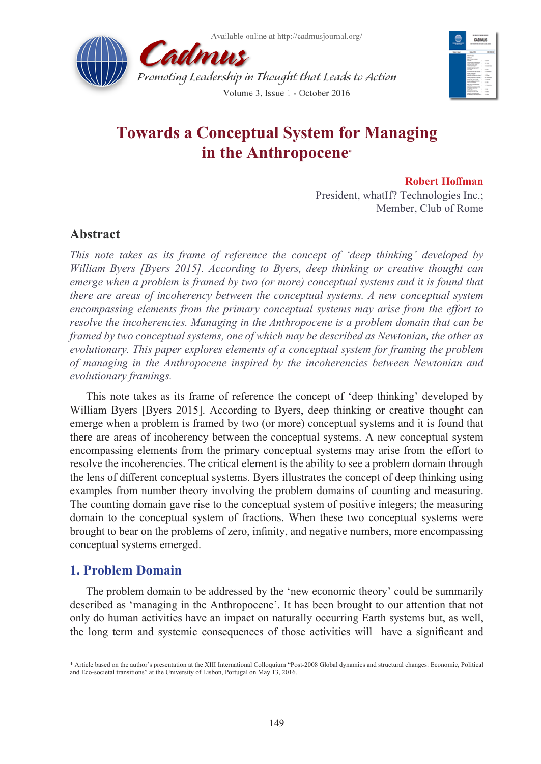



# **Towards a Conceptual System for Managing in the Anthropocene**\*

### **Robert Hoffman**

President, whatIf? Technologies Inc.; Member, Club of Rome

# **Abstract**

*This note takes as its frame of reference the concept of 'deep thinking' developed by William Byers [Byers 2015]. According to Byers, deep thinking or creative thought can emerge when a problem is framed by two (or more) conceptual systems and it is found that there are areas of incoherency between the conceptual systems. A new conceptual system encompassing elements from the primary conceptual systems may arise from the effort to resolve the incoherencies. Managing in the Anthropocene is a problem domain that can be framed by two conceptual systems, one of which may be described as Newtonian, the other as evolutionary. This paper explores elements of a conceptual system for framing the problem of managing in the Anthropocene inspired by the incoherencies between Newtonian and evolutionary framings.* 

This note takes as its frame of reference the concept of 'deep thinking' developed by William Byers [Byers 2015]. According to Byers, deep thinking or creative thought can emerge when a problem is framed by two (or more) conceptual systems and it is found that there are areas of incoherency between the conceptual systems. A new conceptual system encompassing elements from the primary conceptual systems may arise from the effort to resolve the incoherencies. The critical element is the ability to see a problem domain through the lens of different conceptual systems. Byers illustrates the concept of deep thinking using examples from number theory involving the problem domains of counting and measuring. The counting domain gave rise to the conceptual system of positive integers; the measuring domain to the conceptual system of fractions. When these two conceptual systems were brought to bear on the problems of zero, infinity, and negative numbers, more encompassing conceptual systems emerged.

# **1. Problem Domain**

The problem domain to be addressed by the 'new economic theory' could be summarily described as 'managing in the Anthropocene'. It has been brought to our attention that not only do human activities have an impact on naturally occurring Earth systems but, as well, the long term and systemic consequences of those activities will have a significant and

<sup>\*</sup> Article based on the author's presentation at the XIII International Colloquium "Post-2008 Global dynamics and structural changes: Economic, Political and Eco-societal transitions" at the University of Lisbon, Portugal on May 13, 2016.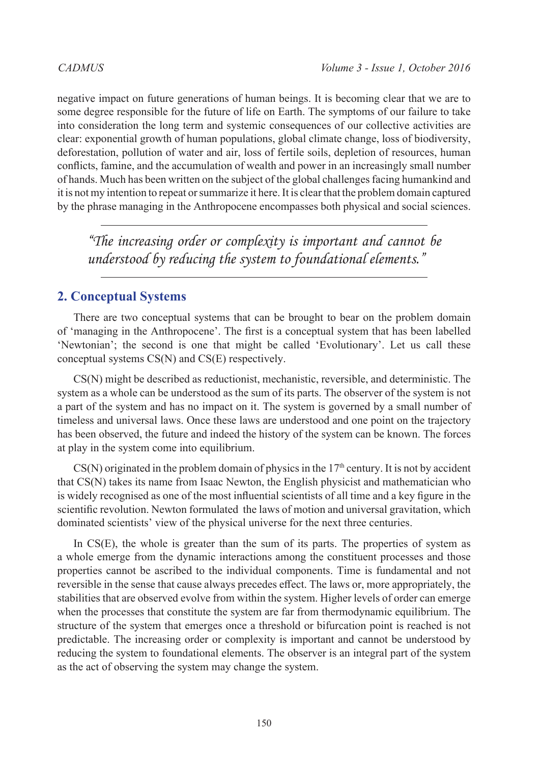negative impact on future generations of human beings. It is becoming clear that we are to some degree responsible for the future of life on Earth. The symptoms of our failure to take into consideration the long term and systemic consequences of our collective activities are clear: exponential growth of human populations, global climate change, loss of biodiversity, deforestation, pollution of water and air, loss of fertile soils, depletion of resources, human conflicts, famine, and the accumulation of wealth and power in an increasingly small number of hands. Much has been written on the subject of the global challenges facing humankind and it is not my intention to repeat or summarize it here. It is clear that the problem domain captured by the phrase managing in the Anthropocene encompasses both physical and social sciences.

*"The increasing order or complexity is important and cannot be understood by reducing the system to foundational elements."*

# **2. Conceptual Systems**

There are two conceptual systems that can be brought to bear on the problem domain of 'managing in the Anthropocene'. The first is a conceptual system that has been labelled 'Newtonian'; the second is one that might be called 'Evolutionary'. Let us call these conceptual systems CS(N) and CS(E) respectively.

CS(N) might be described as reductionist, mechanistic, reversible, and deterministic. The system as a whole can be understood as the sum of its parts. The observer of the system is not a part of the system and has no impact on it. The system is governed by a small number of timeless and universal laws. Once these laws are understood and one point on the trajectory has been observed, the future and indeed the history of the system can be known. The forces at play in the system come into equilibrium.

 $CS(N)$  originated in the problem domain of physics in the  $17<sup>th</sup>$  century. It is not by accident that CS(N) takes its name from Isaac Newton, the English physicist and mathematician who is widely recognised as one of the most influential scientists of all time and a key figure in the scientific revolution. Newton formulated the laws of motion and universal gravitation, which dominated scientists' view of the physical universe for the next three centuries.

In CS(E), the whole is greater than the sum of its parts. The properties of system as a whole emerge from the dynamic interactions among the constituent processes and those properties cannot be ascribed to the individual components. Time is fundamental and not reversible in the sense that cause always precedes effect. The laws or, more appropriately, the stabilities that are observed evolve from within the system. Higher levels of order can emerge when the processes that constitute the system are far from thermodynamic equilibrium. The structure of the system that emerges once a threshold or bifurcation point is reached is not predictable. The increasing order or complexity is important and cannot be understood by reducing the system to foundational elements. The observer is an integral part of the system as the act of observing the system may change the system.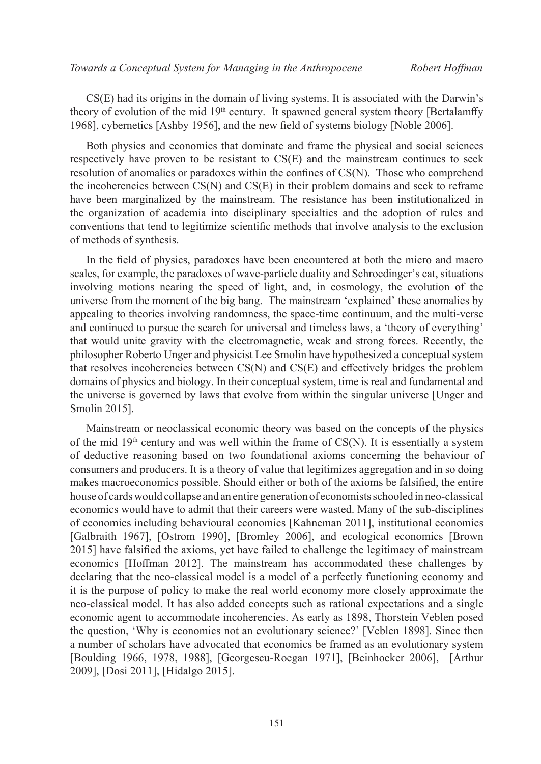CS(E) had its origins in the domain of living systems. It is associated with the Darwin's theory of evolution of the mid  $19<sup>th</sup>$  century. It spawned general system theory [Bertalamffy 1968], cybernetics [Ashby 1956], and the new field of systems biology [Noble 2006].

Both physics and economics that dominate and frame the physical and social sciences respectively have proven to be resistant to CS(E) and the mainstream continues to seek resolution of anomalies or paradoxes within the confines of CS(N). Those who comprehend the incoherencies between CS(N) and CS(E) in their problem domains and seek to reframe have been marginalized by the mainstream. The resistance has been institutionalized in the organization of academia into disciplinary specialties and the adoption of rules and conventions that tend to legitimize scientific methods that involve analysis to the exclusion of methods of synthesis.

In the field of physics, paradoxes have been encountered at both the micro and macro scales, for example, the paradoxes of wave-particle duality and Schroedinger's cat, situations involving motions nearing the speed of light, and, in cosmology, the evolution of the universe from the moment of the big bang. The mainstream 'explained' these anomalies by appealing to theories involving randomness, the space-time continuum, and the multi-verse and continued to pursue the search for universal and timeless laws, a 'theory of everything' that would unite gravity with the electromagnetic, weak and strong forces. Recently, the philosopher Roberto Unger and physicist Lee Smolin have hypothesized a conceptual system that resolves incoherencies between CS(N) and CS(E) and effectively bridges the problem domains of physics and biology. In their conceptual system, time is real and fundamental and the universe is governed by laws that evolve from within the singular universe [Unger and Smolin 2015].

Mainstream or neoclassical economic theory was based on the concepts of the physics of the mid  $19<sup>th</sup>$  century and was well within the frame of CS(N). It is essentially a system of deductive reasoning based on two foundational axioms concerning the behaviour of consumers and producers. It is a theory of value that legitimizes aggregation and in so doing makes macroeconomics possible. Should either or both of the axioms be falsified, the entire house of cards would collapse and an entire generation of economists schooled in neo-classical economics would have to admit that their careers were wasted. Many of the sub-disciplines of economics including behavioural economics [Kahneman 2011], institutional economics [Galbraith 1967], [Ostrom 1990], [Bromley 2006], and ecological economics [Brown 2015] have falsified the axioms, yet have failed to challenge the legitimacy of mainstream economics [Hoffman 2012]. The mainstream has accommodated these challenges by declaring that the neo-classical model is a model of a perfectly functioning economy and it is the purpose of policy to make the real world economy more closely approximate the neo-classical model. It has also added concepts such as rational expectations and a single economic agent to accommodate incoherencies. As early as 1898, Thorstein Veblen posed the question, 'Why is economics not an evolutionary science?' [Veblen 1898]. Since then a number of scholars have advocated that economics be framed as an evolutionary system [Boulding 1966, 1978, 1988], [Georgescu-Roegan 1971], [Beinhocker 2006], [Arthur 2009], [Dosi 2011], [Hidalgo 2015].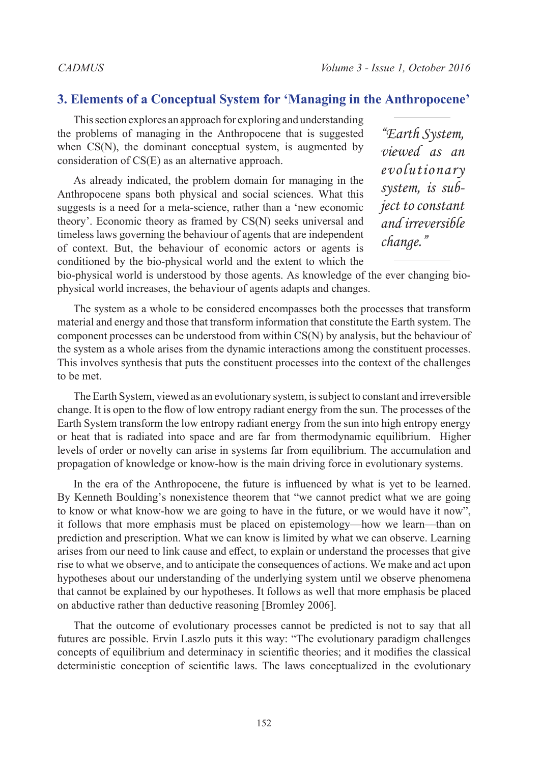# **3. Elements of a Conceptual System for 'Managing in the Anthropocene'**

This section explores an approach for exploring and understanding the problems of managing in the Anthropocene that is suggested when CS(N), the dominant conceptual system, is augmented by consideration of CS(E) as an alternative approach.

As already indicated, the problem domain for managing in the Anthropocene spans both physical and social sciences. What this suggests is a need for a meta-science, rather than a 'new economic theory'. Economic theory as framed by CS(N) seeks universal and timeless laws governing the behaviour of agents that are independent of context. But, the behaviour of economic actors or agents is conditioned by the bio-physical world and the extent to which the

*"Earth System, viewed as an evolutionary system, is subject to constant and irreversible change."*

bio-physical world is understood by those agents. As knowledge of the ever changing biophysical world increases, the behaviour of agents adapts and changes.

The system as a whole to be considered encompasses both the processes that transform material and energy and those that transform information that constitute the Earth system. The component processes can be understood from within CS(N) by analysis, but the behaviour of the system as a whole arises from the dynamic interactions among the constituent processes. This involves synthesis that puts the constituent processes into the context of the challenges to be met.

The Earth System, viewed as an evolutionary system, is subject to constant and irreversible change. It is open to the flow of low entropy radiant energy from the sun. The processes of the Earth System transform the low entropy radiant energy from the sun into high entropy energy or heat that is radiated into space and are far from thermodynamic equilibrium. Higher levels of order or novelty can arise in systems far from equilibrium. The accumulation and propagation of knowledge or know-how is the main driving force in evolutionary systems.

In the era of the Anthropocene, the future is influenced by what is yet to be learned. By Kenneth Boulding's nonexistence theorem that "we cannot predict what we are going to know or what know-how we are going to have in the future, or we would have it now", it follows that more emphasis must be placed on epistemology—how we learn—than on prediction and prescription. What we can know is limited by what we can observe. Learning arises from our need to link cause and effect, to explain or understand the processes that give rise to what we observe, and to anticipate the consequences of actions. We make and act upon hypotheses about our understanding of the underlying system until we observe phenomena that cannot be explained by our hypotheses. It follows as well that more emphasis be placed on abductive rather than deductive reasoning [Bromley 2006].

That the outcome of evolutionary processes cannot be predicted is not to say that all futures are possible. Ervin Laszlo puts it this way: "The evolutionary paradigm challenges concepts of equilibrium and determinacy in scientific theories; and it modifies the classical deterministic conception of scientific laws. The laws conceptualized in the evolutionary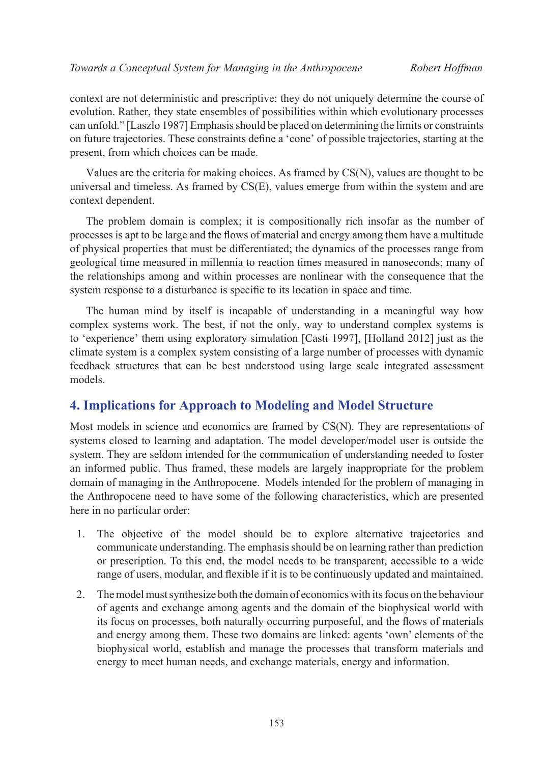context are not deterministic and prescriptive: they do not uniquely determine the course of evolution. Rather, they state ensembles of possibilities within which evolutionary processes can unfold." [Laszlo 1987] Emphasis should be placed on determining the limits or constraints on future trajectories. These constraints define a 'cone' of possible trajectories, starting at the present, from which choices can be made.

Values are the criteria for making choices. As framed by CS(N), values are thought to be universal and timeless. As framed by CS(E), values emerge from within the system and are context dependent.

The problem domain is complex; it is compositionally rich insofar as the number of processes is apt to be large and the flows of material and energy among them have a multitude of physical properties that must be differentiated; the dynamics of the processes range from geological time measured in millennia to reaction times measured in nanoseconds; many of the relationships among and within processes are nonlinear with the consequence that the system response to a disturbance is specific to its location in space and time.

The human mind by itself is incapable of understanding in a meaningful way how complex systems work. The best, if not the only, way to understand complex systems is to 'experience' them using exploratory simulation [Casti 1997], [Holland 2012] just as the climate system is a complex system consisting of a large number of processes with dynamic feedback structures that can be best understood using large scale integrated assessment models.

# **4. Implications for Approach to Modeling and Model Structure**

Most models in science and economics are framed by CS(N). They are representations of systems closed to learning and adaptation. The model developer/model user is outside the system. They are seldom intended for the communication of understanding needed to foster an informed public. Thus framed, these models are largely inappropriate for the problem domain of managing in the Anthropocene. Models intended for the problem of managing in the Anthropocene need to have some of the following characteristics, which are presented here in no particular order:

- 1. The objective of the model should be to explore alternative trajectories and communicate understanding. The emphasis should be on learning rather than prediction or prescription. To this end, the model needs to be transparent, accessible to a wide range of users, modular, and flexible if it is to be continuously updated and maintained.
- 2. The model must synthesize both the domain of economics with its focus on the behaviour of agents and exchange among agents and the domain of the biophysical world with its focus on processes, both naturally occurring purposeful, and the flows of materials and energy among them. These two domains are linked: agents 'own' elements of the biophysical world, establish and manage the processes that transform materials and energy to meet human needs, and exchange materials, energy and information.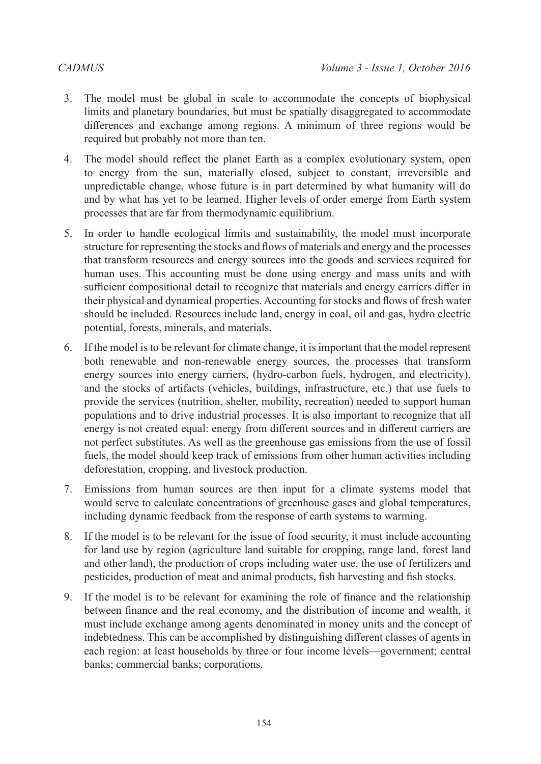- 3. The model must be global in scale to accommodate the concepts of biophysical limits and planetary boundaries, but must be spatially disaggregated to accommodate differences and exchange among regions. A minimum of three regions would be required but probably not more than ten.
- 4. The model should reflect the planet Earth as a complex evolutionary system, open to energy from the sun, materially closed, subject to constant, irreversible and unpredictable change, whose future is in part determined by what humanity will do and by what has yet to be learned. Higher levels of order emerge from Earth system processes that are far from thermodynamic equilibrium.
- 5. In order to handle ecological limits and sustainability, the model must incorporate structure for representing the stocks and flows of materials and energy and the processes that transform resources and energy sources into the goods and services required for human uses. This accounting must be done using energy and mass units and with sufficient compositional detail to recognize that materials and energy carriers differ in their physical and dynamical properties. Accounting for stocks and flows of fresh water should be included. Resources include land, energy in coal, oil and gas, hydro electric potential, forests, minerals, and materials.
- 6. If the model is to be relevant for climate change, it is important that the model represent both renewable and non-renewable energy sources, the processes that transform energy sources into energy carriers, (hydro-carbon fuels, hydrogen, and electricity), and the stocks of artifacts (vehicles, buildings, infrastructure, etc.) that use fuels to provide the services (nutrition, shelter, mobility, recreation) needed to support human populations and to drive industrial processes. It is also important to recognize that all energy is not created equal: energy from different sources and in different carriers are not perfect substitutes. As well as the greenhouse gas emissions from the use of fossil fuels, the model should keep track of emissions from other human activities including deforestation, cropping, and livestock production.
- 7. Emissions from human sources are then input for a climate systems model that would serve to calculate concentrations of greenhouse gases and global temperatures, including dynamic feedback from the response of earth systems to warming.
- 8. If the model is to be relevant for the issue of food security, it must include accounting for land use by region (agriculture land suitable for cropping, range land, forest land and other land), the production of crops including water use, the use of fertilizers and pesticides, production of meat and animal products, fish harvesting and fish stocks.
- 9. If the model is to be relevant for examining the role of finance and the relationship between finance and the real economy, and the distribution of income and wealth, it must include exchange among agents denominated in money units and the concept of indebtedness. This can be accomplished by distinguishing different classes of agents in each region: at least households by three or four income levels—government; central banks; commercial banks; corporations.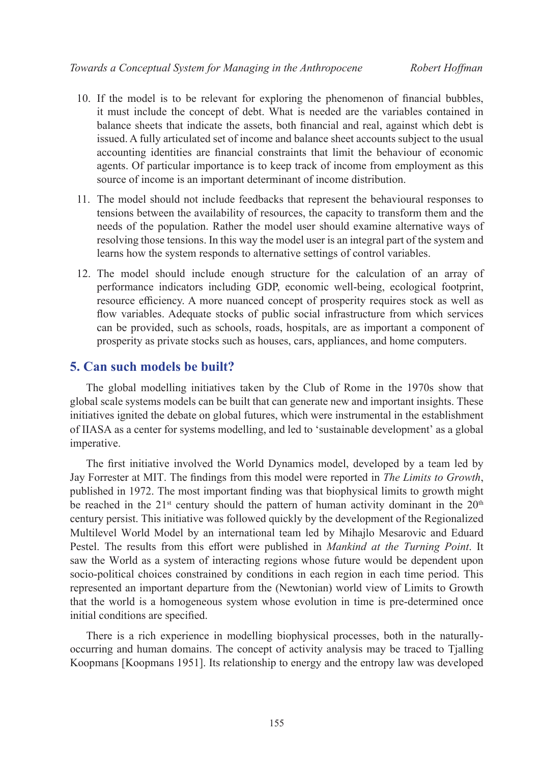- 10. If the model is to be relevant for exploring the phenomenon of financial bubbles, it must include the concept of debt. What is needed are the variables contained in balance sheets that indicate the assets, both financial and real, against which debt is issued. A fully articulated set of income and balance sheet accounts subject to the usual accounting identities are financial constraints that limit the behaviour of economic agents. Of particular importance is to keep track of income from employment as this source of income is an important determinant of income distribution.
- 11. The model should not include feedbacks that represent the behavioural responses to tensions between the availability of resources, the capacity to transform them and the needs of the population. Rather the model user should examine alternative ways of resolving those tensions. In this way the model user is an integral part of the system and learns how the system responds to alternative settings of control variables.
- 12. The model should include enough structure for the calculation of an array of performance indicators including GDP, economic well-being, ecological footprint, resource efficiency. A more nuanced concept of prosperity requires stock as well as flow variables. Adequate stocks of public social infrastructure from which services can be provided, such as schools, roads, hospitals, are as important a component of prosperity as private stocks such as houses, cars, appliances, and home computers.

## **5. Can such models be built?**

The global modelling initiatives taken by the Club of Rome in the 1970s show that global scale systems models can be built that can generate new and important insights. These initiatives ignited the debate on global futures, which were instrumental in the establishment of IIASA as a center for systems modelling, and led to 'sustainable development' as a global imperative.

The first initiative involved the World Dynamics model, developed by a team led by Jay Forrester at MIT. The findings from this model were reported in *The Limits to Growth*, published in 1972. The most important finding was that biophysical limits to growth might be reached in the  $21<sup>st</sup>$  century should the pattern of human activity dominant in the  $20<sup>th</sup>$ century persist. This initiative was followed quickly by the development of the Regionalized Multilevel World Model by an international team led by Mihajlo Mesarovic and Eduard Pestel. The results from this effort were published in *Mankind at the Turning Point*. It saw the World as a system of interacting regions whose future would be dependent upon socio-political choices constrained by conditions in each region in each time period. This represented an important departure from the (Newtonian) world view of Limits to Growth that the world is a homogeneous system whose evolution in time is pre-determined once initial conditions are specified.

There is a rich experience in modelling biophysical processes, both in the naturallyoccurring and human domains. The concept of activity analysis may be traced to Tjalling Koopmans [Koopmans 1951]. Its relationship to energy and the entropy law was developed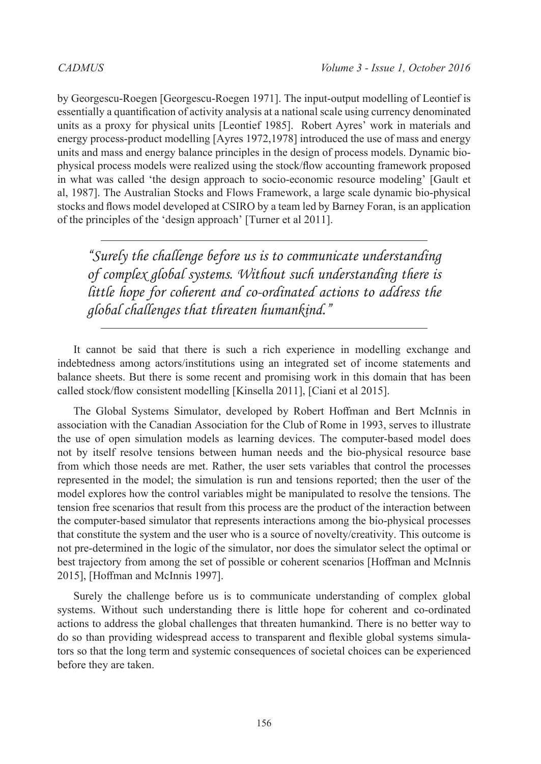by Georgescu-Roegen [Georgescu-Roegen 1971]. The input-output modelling of Leontief is essentially a quantification of activity analysis at a national scale using currency denominated units as a proxy for physical units [Leontief 1985]. Robert Ayres' work in materials and energy process-product modelling [Ayres 1972,1978] introduced the use of mass and energy units and mass and energy balance principles in the design of process models. Dynamic biophysical process models were realized using the stock/flow accounting framework proposed in what was called 'the design approach to socio-economic resource modeling' [Gault et al, 1987]. The Australian Stocks and Flows Framework, a large scale dynamic bio-physical stocks and flows model developed at CSIRO by a team led by Barney Foran, is an application of the principles of the 'design approach' [Turner et al 2011].

*"Surely the challenge before us is to communicate understanding of complex global systems. Without such understanding there is little hope for coherent and co-ordinated actions to address the global challenges that threaten humankind."*

It cannot be said that there is such a rich experience in modelling exchange and indebtedness among actors/institutions using an integrated set of income statements and balance sheets. But there is some recent and promising work in this domain that has been called stock/flow consistent modelling [Kinsella 2011], [Ciani et al 2015].

The Global Systems Simulator, developed by Robert Hoffman and Bert McInnis in association with the Canadian Association for the Club of Rome in 1993, serves to illustrate the use of open simulation models as learning devices. The computer-based model does not by itself resolve tensions between human needs and the bio-physical resource base from which those needs are met. Rather, the user sets variables that control the processes represented in the model; the simulation is run and tensions reported; then the user of the model explores how the control variables might be manipulated to resolve the tensions. The tension free scenarios that result from this process are the product of the interaction between the computer-based simulator that represents interactions among the bio-physical processes that constitute the system and the user who is a source of novelty/creativity. This outcome is not pre-determined in the logic of the simulator, nor does the simulator select the optimal or best trajectory from among the set of possible or coherent scenarios [Hoffman and McInnis 2015], [Hoffman and McInnis 1997].

Surely the challenge before us is to communicate understanding of complex global systems. Without such understanding there is little hope for coherent and co-ordinated actions to address the global challenges that threaten humankind. There is no better way to do so than providing widespread access to transparent and flexible global systems simulators so that the long term and systemic consequences of societal choices can be experienced before they are taken.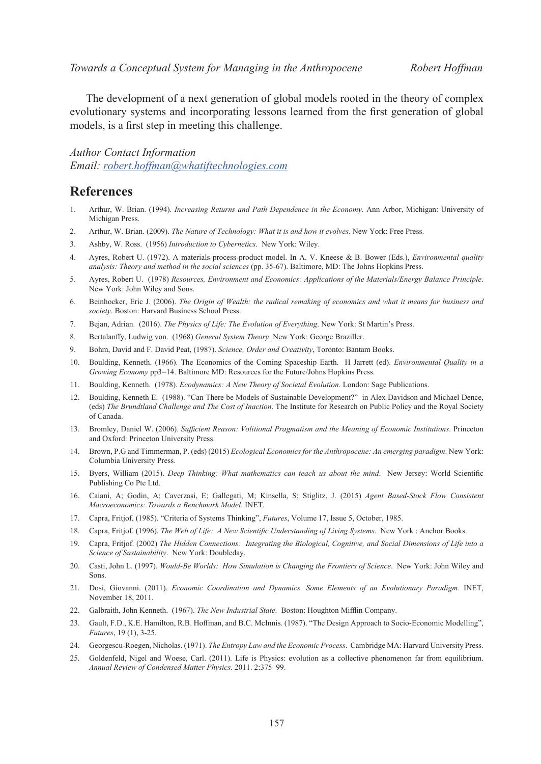The development of a next generation of global models rooted in the theory of complex evolutionary systems and incorporating lessons learned from the first generation of global models, is a first step in meeting this challenge.

#### *Author Contact Information*

*Email: [robert.hoffman@whatiftechnologies.com](mailto:robert.hoffman%40whatiftechnologies.com?subject=)*

### **References**

- 1. Arthur, W. Brian. (1994). *Increasing Returns and Path Dependence in the Economy*. Ann Arbor, Michigan: University of Michigan Press.
- 2. Arthur, W. Brian. (2009). *The Nature of Technology: What it is and how it evolves*. New York: Free Press.
- 3. Ashby, W. Ross. (1956) *Introduction to Cybernetics*. New York: Wiley.
- 4. Ayres, Robert U. (1972). A materials-process-product model. In A. V. Kneese & B. Bower (Eds.), *Environmental quality analysis: Theory and method in the social sciences* (pp. 35-67). Baltimore, MD: The Johns Hopkins Press.
- 5. Ayres, Robert U. (1978) *Resources, Environment and Economics: Applications of the Materials/Energy Balance Principle*. New York: John Wiley and Sons.
- 6. Beinhocker, Eric J. (2006). *The Origin of Wealth: the radical remaking of economics and what it means for business and society*. Boston: Harvard Business School Press.
- 7. Bejan, Adrian. (2016). *The Physics of Life: The Evolution of Everything*. New York: St Martin's Press.
- 8. Bertalanffy, Ludwig von. (1968) *General System Theory*. New York: George Braziller.
- 9. Bohm, David and F. David Peat, (1987). *Science, Order and Creativity*, Toronto: Bantam Books.
- 10. Boulding, Kenneth. (1966). The Economics of the Coming Spaceship Earth. H Jarrett (ed). *Environmental Quality in a Growing Economy* pp3=14. Baltimore MD: Resources for the Future/Johns Hopkins Press.
- 11. Boulding, Kenneth. (1978). *Ecodynamics: A New Theory of Societal Evolution*. London: Sage Publications.
- 12. Boulding, Kenneth E. (1988). "Can There be Models of Sustainable Development?" in Alex Davidson and Michael Dence, (eds) *The Brundtland Challenge and The Cost of Inaction*. The Institute for Research on Public Policy and the Royal Society of Canada.
- 13. Bromley, Daniel W. (2006). *Sufficient Reason: Volitional Pragmatism and the Meaning of Economic Institutions*. Princeton and Oxford: Princeton University Press.
- 14. Brown, P.G and Timmerman, P. (eds) (2015) *Ecological Economics for the Anthropocene: An emerging paradigm*. New York: Columbia University Press.
- 15. Byers, William (2015). *Deep Thinking: What mathematics can teach us about the mind*. New Jersey: World Scientific Publishing Co Pte Ltd.
- 16. Caiani, A; Godin, A; Caverzasi, E; Gallegati, M; Kinsella, S; Stiglitz, J. (2015) *Agent Based-Stock Flow Consistent Macroeconomics: Towards a Benchmark Model*. INET.
- 17. Capra, Fritjof, (1985). "Criteria of Systems Thinking", *Futures*, Volume 17, Issue 5, October, 1985.
- 18. Capra, Fritjof. (1996). *The Web of Life: A New Scientific Understanding of Living Systems*. New York : Anchor Books.
- 19. Capra, Fritjof. (2002) *The Hidden Connections: Integrating the Biological, Cognitive, and Social Dimensions of Life into a Science of Sustainability*. New York: Doubleday.
- 20. Casti, John L. (1997). *Would-Be Worlds: How Simulation is Changing the Frontiers of Science*. New York: John Wiley and Sons.
- 21. Dosi, Giovanni. (2011). *Economic Coordination and Dynamics. Some Elements of an Evolutionary Paradigm*. INET, November 18, 2011.
- 22. Galbraith, John Kenneth. (1967). *The New Industrial State*. Boston: Houghton Mifflin Company.
- 23. Gault, F.D., K.E. Hamilton, R.B. Hoffman, and B.C. McInnis. (1987). "The Design Approach to Socio-Economic Modelling", *Futures*, 19 (1), 3-25.
- 24. Georgescu-Roegen, Nicholas. (1971). *The Entropy Law and the Economic Process*. Cambridge MA: Harvard University Press.
- 25. Goldenfeld, Nigel and Woese, Carl. (2011). Life is Physics: evolution as a collective phenomenon far from equilibrium. *Annual Review of Condensed Matter Physics*. 2011. 2:375–99.